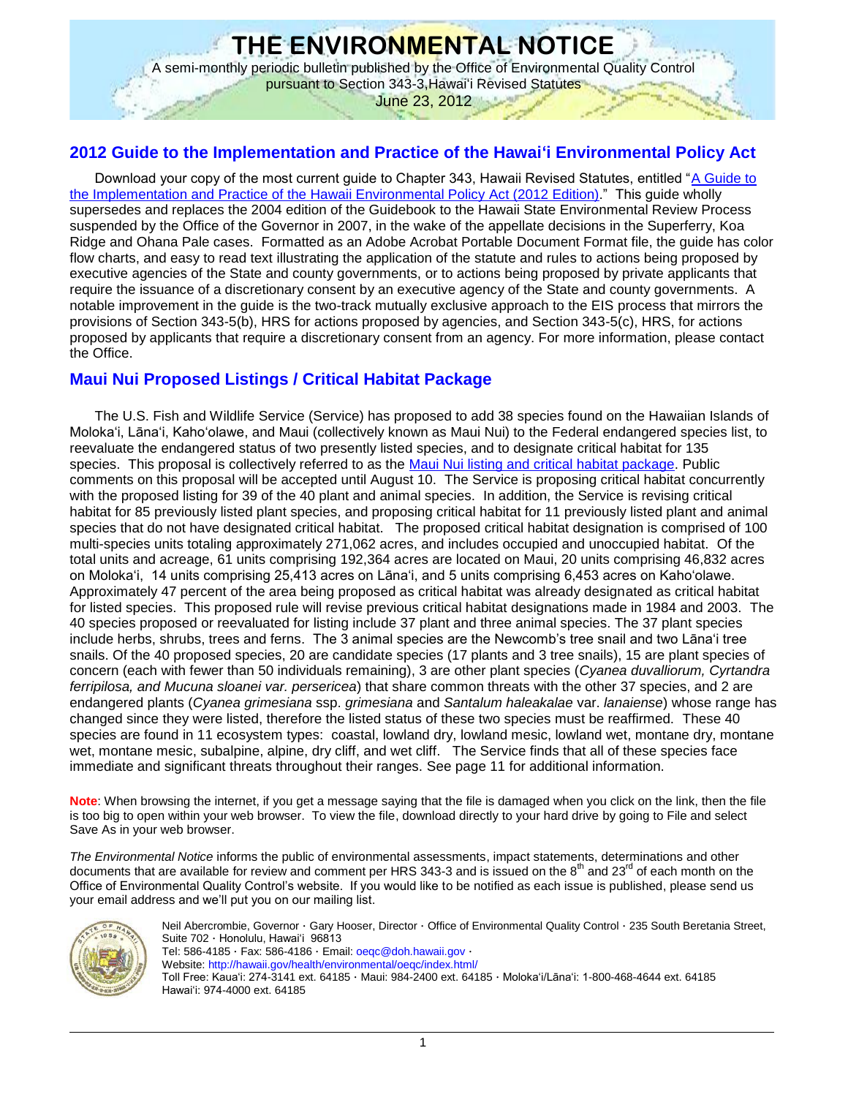# **THE ENVIRONMENTAL NOTICE**

A semi-monthly periodic bulletin published by the Office of Environmental Quality Control pursuant to Section 343-3,Hawai'i Revised Statutes

June 23, 2012

## **2012 Guide to the Implementation and Practice of the Hawai'i Environmental Policy Act**

Download your copy of the most current guide to Chapter 343, Hawaii Revised Statutes, entitled ["A Guide to](http://oeqc.doh.hawaii.gov/Shared%20Documents/Misc_Documents/Guide%20to%20the%20Implementation%20and%20Practice%20of%20the%20HEPA.pdf)  [the Implementation and Practice of the Hawaii Environmental Policy Act \(2012 Edition\).](http://oeqc.doh.hawaii.gov/Shared%20Documents/Misc_Documents/Guide%20to%20the%20Implementation%20and%20Practice%20of%20the%20HEPA.pdf)" This guide wholly supersedes and replaces the 2004 edition of the Guidebook to the Hawaii State Environmental Review Process suspended by the Office of the Governor in 2007, in the wake of the appellate decisions in the Superferry, Koa Ridge and Ohana Pale cases. Formatted as an Adobe Acrobat Portable Document Format file, the guide has color flow charts, and easy to read text illustrating the application of the statute and rules to actions being proposed by executive agencies of the State and county governments, or to actions being proposed by private applicants that require the issuance of a discretionary consent by an executive agency of the State and county governments. A notable improvement in the guide is the two-track mutually exclusive approach to the EIS process that mirrors the provisions of Section 343-5(b), HRS for actions proposed by agencies, and Section 343-5(c), HRS, for actions proposed by applicants that require a discretionary consent from an agency. For more information, please contact the Office.

## **Maui Nui Proposed Listings / Critical Habitat Package**

The U.S. Fish and Wildlife Service (Service) has proposed to add 38 species found on the Hawaiian Islands of Moloka'i, Lāna'i, Kaho'olawe, and Maui (collectively known as Maui Nui) to the Federal endangered species list, to reevaluate the endangered status of two presently listed species, and to designate critical habitat for 135 species. This proposal is collectively referred to as the [Maui Nui listing and critical habitat package.](http://www.gpo.gov/fdsys/pkg/FR-2012-06-11/pdf/2012-11484.pdf) Public comments on this proposal will be accepted until August 10. The Service is proposing critical habitat concurrently with the proposed listing for 39 of the 40 plant and animal species. In addition, the Service is revising critical habitat for 85 previously listed plant species, and proposing critical habitat for 11 previously listed plant and animal species that do not have designated critical habitat. The proposed critical habitat designation is comprised of 100 multi-species units totaling approximately 271,062 acres, and includes occupied and unoccupied habitat. Of the total units and acreage, 61 units comprising 192,364 acres are located on Maui, 20 units comprising 46,832 acres on Moloka'i, 14 units comprising 25,413 acres on Lāna'i, and 5 units comprising 6,453 acres on Kaho'olawe. Approximately 47 percent of the area being proposed as critical habitat was already designated as critical habitat for listed species. This proposed rule will revise previous critical habitat designations made in 1984 and 2003. The 40 species proposed or reevaluated for listing include 37 plant and three animal species. The 37 plant species include herbs, shrubs, trees and ferns. The 3 animal species are the Newcomb's tree snail and two Lāna'i tree snails. Of the 40 proposed species, 20 are candidate species (17 plants and 3 tree snails), 15 are plant species of concern (each with fewer than 50 individuals remaining), 3 are other plant species (*Cyanea duvalliorum, Cyrtandra ferripilosa, and Mucuna sloanei var. persericea*) that share common threats with the other 37 species, and 2 are endangered plants (*Cyanea grimesiana* ssp. *grimesiana* and *Santalum haleakalae* var. *lanaiense*) whose range has changed since they were listed, therefore the listed status of these two species must be reaffirmed. These 40 species are found in 11 ecosystem types: coastal, lowland dry, lowland mesic, lowland wet, montane dry, montane wet, montane mesic, subalpine, alpine, dry cliff, and wet cliff. The Service finds that all of these species face immediate and significant threats throughout their ranges. See page 11 for additional information.

**Note**: When browsing the internet, if you get a message saying that the file is damaged when you click on the link, then the file is too big to open within your web browser. To view the file, download directly to your hard drive by going to File and select Save As in your web browser.

*The Environmental Notice* informs the public of environmental assessments, impact statements, determinations and other documents that are available for review and comment per HRS 343-3 and is issued on the  $8<sup>th</sup>$  and  $23<sup>rd</sup>$  of each month on the Office of Environmental Quality Control's website. If you would like to be notified as each issue is published, please send us your email address and we'll put you on our mailing list.



Neil Abercrombie, Governor · Gary Hooser, Director · Office of Environmental Quality Control · 235 South Beretania Street, Suite 702 · Honolulu, Hawai'i 96813 Tel: 586-4185 · Fax: 586-4186 · Email[: oeqc@doh.hawaii.gov](mailto:oeqc@doh.hawaii.gov) · Website[: http://hawaii.gov/health/environmental/oeqc/index.html/](http://hawaii.gov/health/environmental/oeqc/index.html/) Toll Free: Kaua'i: 274-3141 ext. 64185 · Maui: 984-2400 ext. 64185 · Moloka'i/Lāna'i: 1-800-468-4644 ext. 64185 Hawai'i: 974-4000 ext. 64185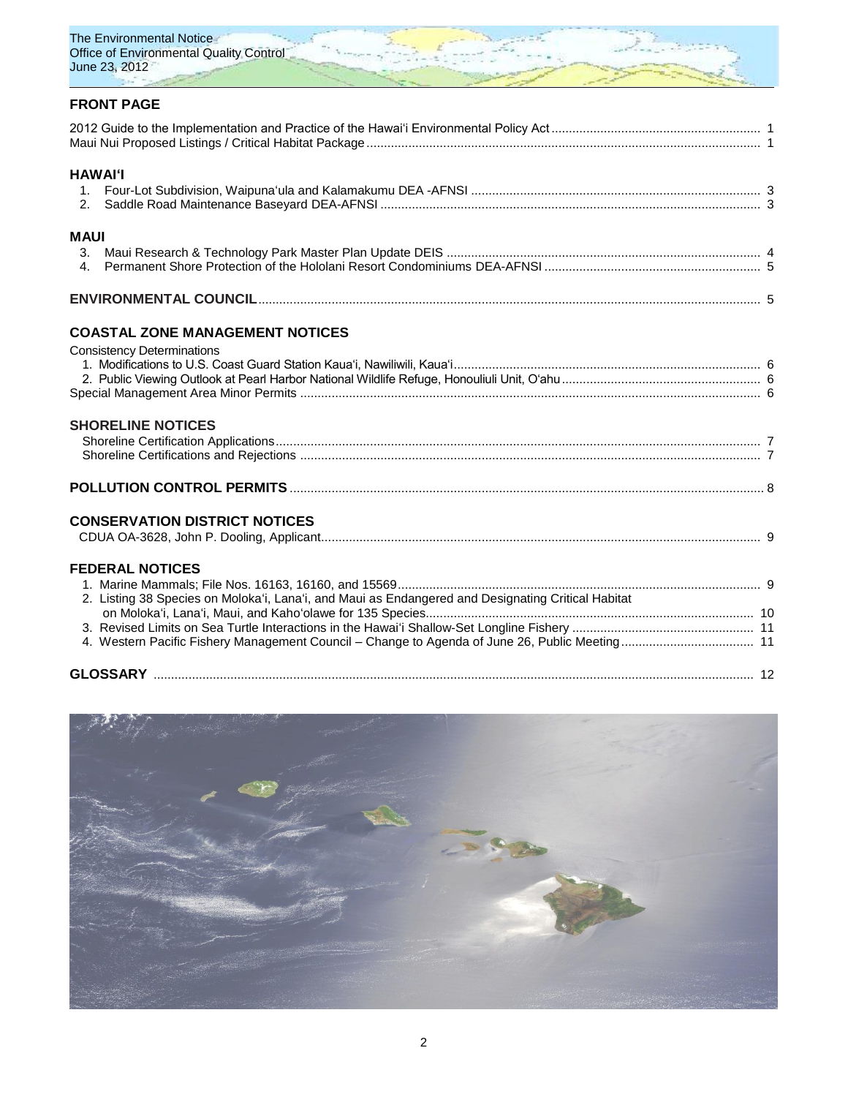

## **FRONT PAGE**

| <b>HAWAI'I</b><br>2.                                                                               |  |
|----------------------------------------------------------------------------------------------------|--|
| <b>MAUI</b>                                                                                        |  |
| 3.<br>4 <sup>1</sup>                                                                               |  |
|                                                                                                    |  |
| <b>COASTAL ZONE MANAGEMENT NOTICES</b>                                                             |  |
| <b>Consistency Determinations</b>                                                                  |  |
|                                                                                                    |  |
| <b>SHORELINE NOTICES</b>                                                                           |  |
|                                                                                                    |  |
|                                                                                                    |  |
| <b>CONSERVATION DISTRICT NOTICES</b>                                                               |  |
|                                                                                                    |  |
| <b>FEDERAL NOTICES</b>                                                                             |  |
| 2. Listing 38 Species on Moloka'i, Lana'i, and Maui as Endangered and Designating Critical Habitat |  |
|                                                                                                    |  |
| 4. Western Pacific Fishery Management Council – Change to Agenda of June 26, Public Meeting 11     |  |
|                                                                                                    |  |

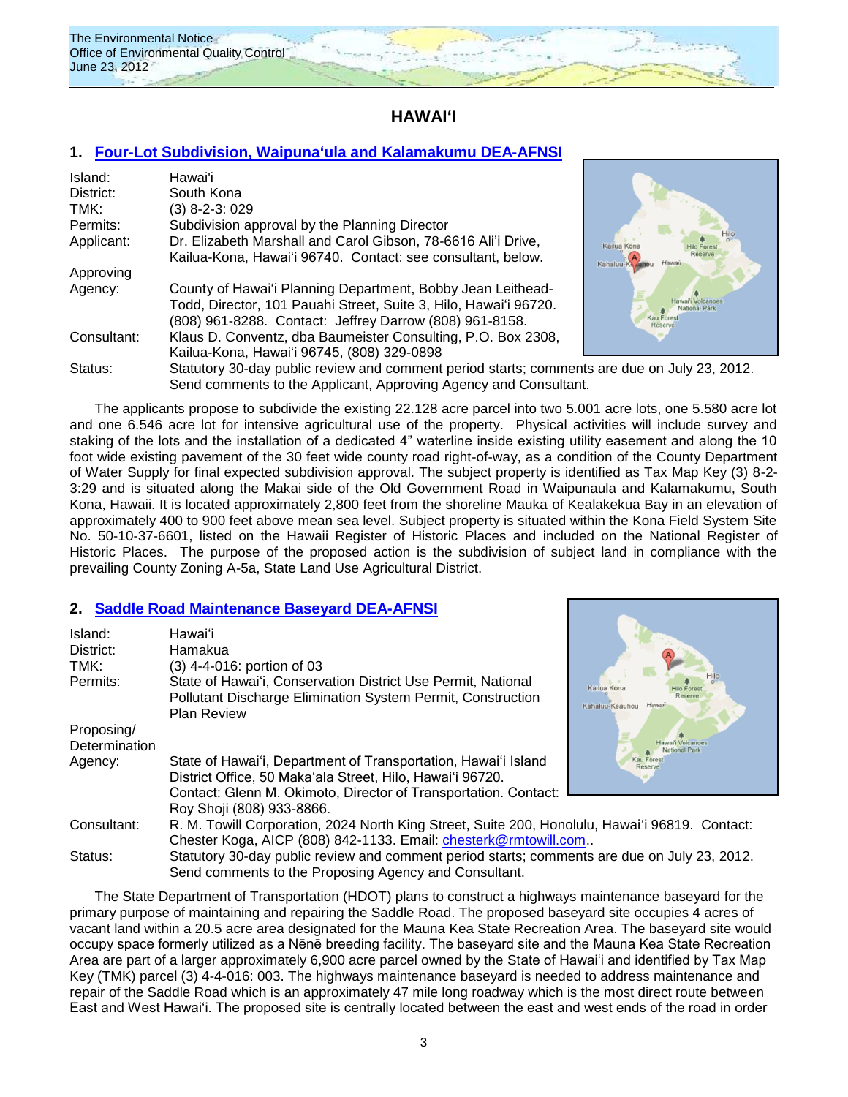

## **HAWAI'I**

### **1. [Four-Lot Subdivision, Waipuna'ula and Kalamakumu](http://oeqc.doh.hawaii.gov/Shared%20Documents/EA_and_EIS_Online_Library/Hawaii/2010s/2012-06-23%20DEA-AFNSI%20COH%20Marshall%20Four%20Lot%20Subdivision%20and%20Installation%20of%20Waterline%20Waipunaula.pdf) DEA-AFNSI**

| Island:     | Hawai'i                                                          |
|-------------|------------------------------------------------------------------|
| District:   | South Kona                                                       |
| TMK:        | (3) 8-2-3: 029                                                   |
| Permits:    | Subdivision approval by the Planning Director                    |
| Applicant:  | Dr. Elizabeth Marshall and Carol Gibson, 78-6616 Ali'i Drive,    |
|             | Kailua-Kona, Hawai'i 96740. Contact: see consultant, below.      |
| Approving   |                                                                  |
| Agency:     | County of Hawai'i Planning Department, Bobby Jean Leithead-      |
|             | Todd, Director, 101 Pauahi Street, Suite 3, Hilo, Hawai'i 96720. |
|             | (808) 961-8288. Contact: Jeffrey Darrow (808) 961-8158.          |
| Consultant: | Klaus D. Conventz, dba Baumeister Consulting, P.O. Box 2308,     |
|             | Kailua-Kona, Hawai'i 96745, (808) 329-0898                       |
| Status:     | Statutory 30-day public review and comment period starts; comme  |
|             |                                                                  |



nts are due on July 23, 2012. Send comments to the Applicant, Approving Agency and Consultant.

The applicants propose to subdivide the existing 22.128 acre parcel into two 5.001 acre lots, one 5.580 acre lot and one 6.546 acre lot for intensive agricultural use of the property. Physical activities will include survey and staking of the lots and the installation of a dedicated 4" waterline inside existing utility easement and along the 10 foot wide existing pavement of the 30 feet wide county road right-of-way, as a condition of the County Department of Water Supply for final expected subdivision approval. The subject property is identified as Tax Map Key (3) 8-2- 3:29 and is situated along the Makai side of the Old Government Road in Waipunaula and Kalamakumu, South Kona, Hawaii. It is located approximately 2,800 feet from the shoreline Mauka of Kealakekua Bay in an elevation of approximately 400 to 900 feet above mean sea level. Subject property is situated within the Kona Field System Site No. 50-10-37-6601, listed on the Hawaii Register of Historic Places and included on the National Register of Historic Places. The purpose of the proposed action is the subdivision of subject land in compliance with the prevailing County Zoning A-5a, State Land Use Agricultural District.

### **2. [Saddle Road Maintenance Baseyard](http://oeqc.doh.hawaii.gov/Shared%20Documents/EA_and_EIS_Online_Library/Hawaii/2010s/2012-06-23%20DEA%20DOT%20Saddle%20Road%20Maintenance%20Baseyard.pdf) DEA-AFNSI**

| Island:       | Hawai'i                                                                                        |                                        |
|---------------|------------------------------------------------------------------------------------------------|----------------------------------------|
| District:     | Hamakua                                                                                        |                                        |
| TMK:          | (3) 4-4-016: portion of 03                                                                     |                                        |
| Permits:      | State of Hawai'i, Conservation District Use Permit, National                                   | Kailua Kona                            |
|               | Pollutant Discharge Elimination System Permit, Construction                                    | Hawaii                                 |
|               | <b>Plan Review</b>                                                                             | Kahaluu-Keauhou                        |
| Proposing/    |                                                                                                |                                        |
| Determination |                                                                                                | ai'i Volcanoes<br><b>National Park</b> |
| Agency:       | State of Hawai'i, Department of Transportation, Hawai'i Island                                 | <b>Kau Fores</b><br>Reserve            |
|               | District Office, 50 Maka'ala Street, Hilo, Hawai'i 96720.                                      |                                        |
|               | Contact: Glenn M. Okimoto, Director of Transportation. Contact:                                |                                        |
|               | Roy Shoji (808) 933-8866.                                                                      |                                        |
| Consultant:   | R. M. Towill Corporation, 2024 North King Street, Suite 200, Honolulu, Hawai'i 96819. Contact: |                                        |
|               | Chester Koga, AICP (808) 842-1133. Email: chesterk@rmtowill.com                                |                                        |
| Status:       | Statutory 30-day public review and comment period starts; comments are due on July 23, 2012.   |                                        |
|               | Send comments to the Proposing Agency and Consultant.                                          |                                        |

The State Department of Transportation (HDOT) plans to construct a highways maintenance baseyard for the primary purpose of maintaining and repairing the Saddle Road. The proposed baseyard site occupies 4 acres of vacant land within a 20.5 acre area designated for the Mauna Kea State Recreation Area. The baseyard site would occupy space formerly utilized as a Nēnē breeding facility. The baseyard site and the Mauna Kea State Recreation Area are part of a larger approximately 6,900 acre parcel owned by the State of Hawai'i and identified by Tax Map Key (TMK) parcel (3) 4-4-016: 003. The highways maintenance baseyard is needed to address maintenance and repair of the Saddle Road which is an approximately 47 mile long roadway which is the most direct route between East and West Hawai'i. The proposed site is centrally located between the east and west ends of the road in order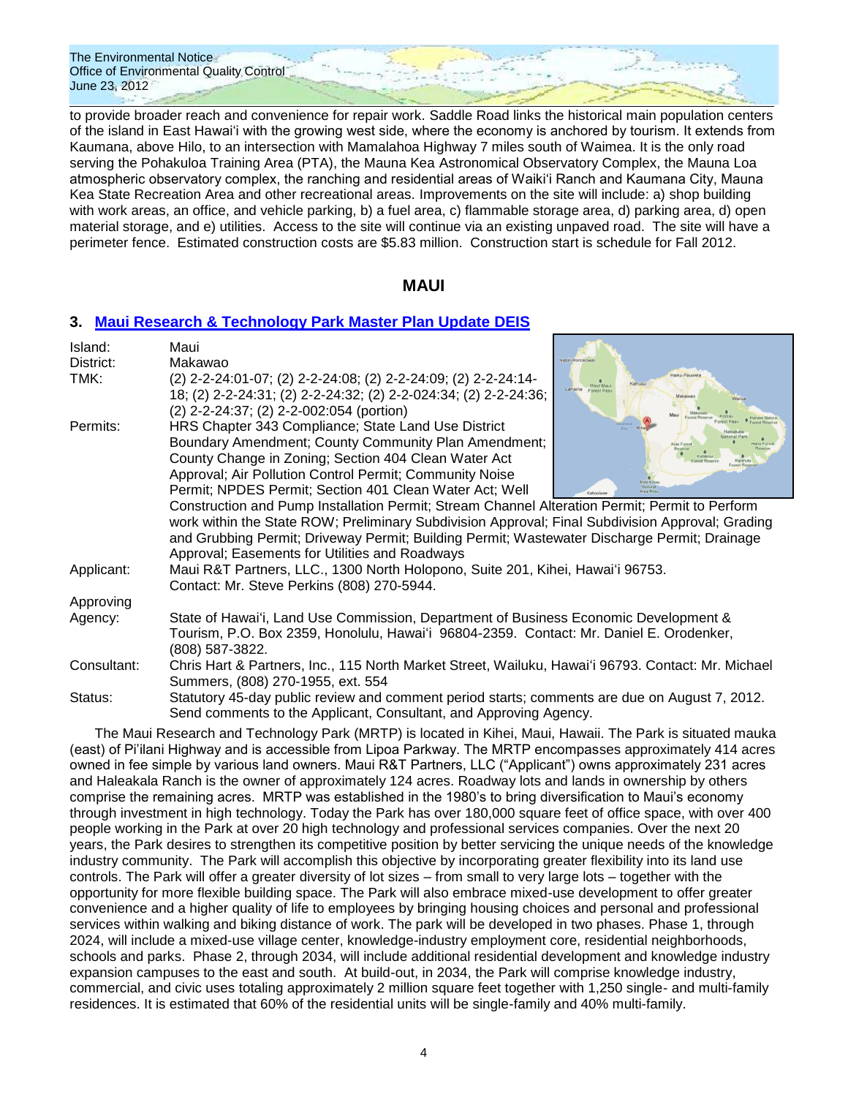to provide broader reach and convenience for repair work. Saddle Road links the historical main population centers of the island in East Hawai'i with the growing west side, where the economy is anchored by tourism. It extends from Kaumana, above Hilo, to an intersection with Mamalahoa Highway 7 miles south of Waimea. It is the only road serving the Pohakuloa Training Area (PTA), the Mauna Kea Astronomical Observatory Complex, the Mauna Loa atmospheric observatory complex, the ranching and residential areas of Waiki'i Ranch and Kaumana City, Mauna Kea State Recreation Area and other recreational areas. Improvements on the site will include: a) shop building with work areas, an office, and vehicle parking, b) a fuel area, c) flammable storage area, d) parking area, d) open material storage, and e) utilities. Access to the site will continue via an existing unpaved road. The site will have a perimeter fence. Estimated construction costs are \$5.83 million. Construction start is schedule for Fall 2012.

### **MAUI**

### **3. [Maui Research & Technology Park Master Plan Update](http://oeqc.doh.hawaii.gov/Shared%20Documents/EA_and_EIS_Online_Library/Maui/2010s/2012-06-23%20MA%20DEIS%20LUC%20MAUI%20Research%20and%20Technology%20Park%20Master%20Plan%20Update.pdf) DEIS**

| Island:     | Maui                                                                                                            |                                      |  |  |
|-------------|-----------------------------------------------------------------------------------------------------------------|--------------------------------------|--|--|
| District:   | Makawao                                                                                                         | Napili-Honokowa                      |  |  |
| TMK:        | (2) 2-2-24:01-07; (2) 2-2-24:08; (2) 2-2-24:09; (2) 2-2-24:14-                                                  | Haiku-Pauwela<br>Kahulu<br>West Maui |  |  |
|             | 18; (2) 2-2-24:31; (2) 2-2-24:32; (2) 2-2-024:34; (2) 2-2-24:36;                                                | Lahaina<br>Forest Resy<br>Makawao    |  |  |
|             | (2) 2-2-24:37; (2) 2-2-002:054 (portion)                                                                        |                                      |  |  |
| Permits:    | HRS Chapter 343 Compliance; State Land Use District                                                             |                                      |  |  |
|             | Boundary Amendment; County Community Plan Amendment;                                                            | Kula Fores                           |  |  |
|             | County Change in Zoning; Section 404 Clean Water Act                                                            |                                      |  |  |
|             | Approval; Air Pollution Control Permit; Community Noise                                                         |                                      |  |  |
|             | Permit; NPDES Permit; Section 401 Clean Water Act; Well                                                         | Kahoolawe                            |  |  |
|             | Construction and Pump Installation Permit; Stream Channel Alteration Permit; Permit to Perform                  |                                      |  |  |
|             | work within the State ROW; Preliminary Subdivision Approval; Final Subdivision Approval; Grading                |                                      |  |  |
|             | and Grubbing Permit; Driveway Permit; Building Permit; Wastewater Discharge Permit; Drainage                    |                                      |  |  |
|             | Approval; Easements for Utilities and Roadways                                                                  |                                      |  |  |
| Applicant:  | Maui R&T Partners, LLC., 1300 North Holopono, Suite 201, Kihei, Hawai'i 96753.                                  |                                      |  |  |
|             | Contact: Mr. Steve Perkins (808) 270-5944.                                                                      |                                      |  |  |
| Approving   |                                                                                                                 |                                      |  |  |
| Agency:     | State of Hawai'i, Land Use Commission, Department of Business Economic Development &                            |                                      |  |  |
|             | Tourism, P.O. Box 2359, Honolulu, Hawai'i 96804-2359. Contact: Mr. Daniel E. Orodenker,                         |                                      |  |  |
|             | (808) 587-3822.                                                                                                 |                                      |  |  |
| Consultant: | Chris Hart & Partners, Inc., 115 North Market Street, Wailuku, Hawai'i 96793. Contact: Mr. Michael              |                                      |  |  |
|             | Summers, (808) 270-1955, ext. 554                                                                               |                                      |  |  |
| Status:     | Statutory 45-day public review and comment period starts; comments are due on August 7, 2012.                   |                                      |  |  |
|             | Send comments to the Applicant, Consultant, and Approving Agency.                                               |                                      |  |  |
|             | TIO NAS A POSSESSIONES ENTRAINENTE DE LA ANDITOMA ESSES EL SEGUNDO EN LA SANTA EL PRESIDENTE EN LA SEGUNDO EL E |                                      |  |  |

The Maui Research and Technology Park (MRTP) is located in Kihei, Maui, Hawaii. The Park is situated mauka (east) of Pi'ilani Highway and is accessible from Lipoa Parkway. The MRTP encompasses approximately 414 acres owned in fee simple by various land owners. Maui R&T Partners, LLC ("Applicant") owns approximately 231 acres and Haleakala Ranch is the owner of approximately 124 acres. Roadway lots and lands in ownership by others comprise the remaining acres. MRTP was established in the 1980's to bring diversification to Maui's economy through investment in high technology. Today the Park has over 180,000 square feet of office space, with over 400 people working in the Park at over 20 high technology and professional services companies. Over the next 20 years, the Park desires to strengthen its competitive position by better servicing the unique needs of the knowledge industry community. The Park will accomplish this objective by incorporating greater flexibility into its land use controls. The Park will offer a greater diversity of lot sizes – from small to very large lots – together with the opportunity for more flexible building space. The Park will also embrace mixed-use development to offer greater convenience and a higher quality of life to employees by bringing housing choices and personal and professional services within walking and biking distance of work. The park will be developed in two phases. Phase 1, through 2024, will include a mixed-use village center, knowledge-industry employment core, residential neighborhoods, schools and parks. Phase 2, through 2034, will include additional residential development and knowledge industry expansion campuses to the east and south. At build-out, in 2034, the Park will comprise knowledge industry, commercial, and civic uses totaling approximately 2 million square feet together with 1,250 single- and multi-family residences. It is estimated that 60% of the residential units will be single-family and 40% multi-family.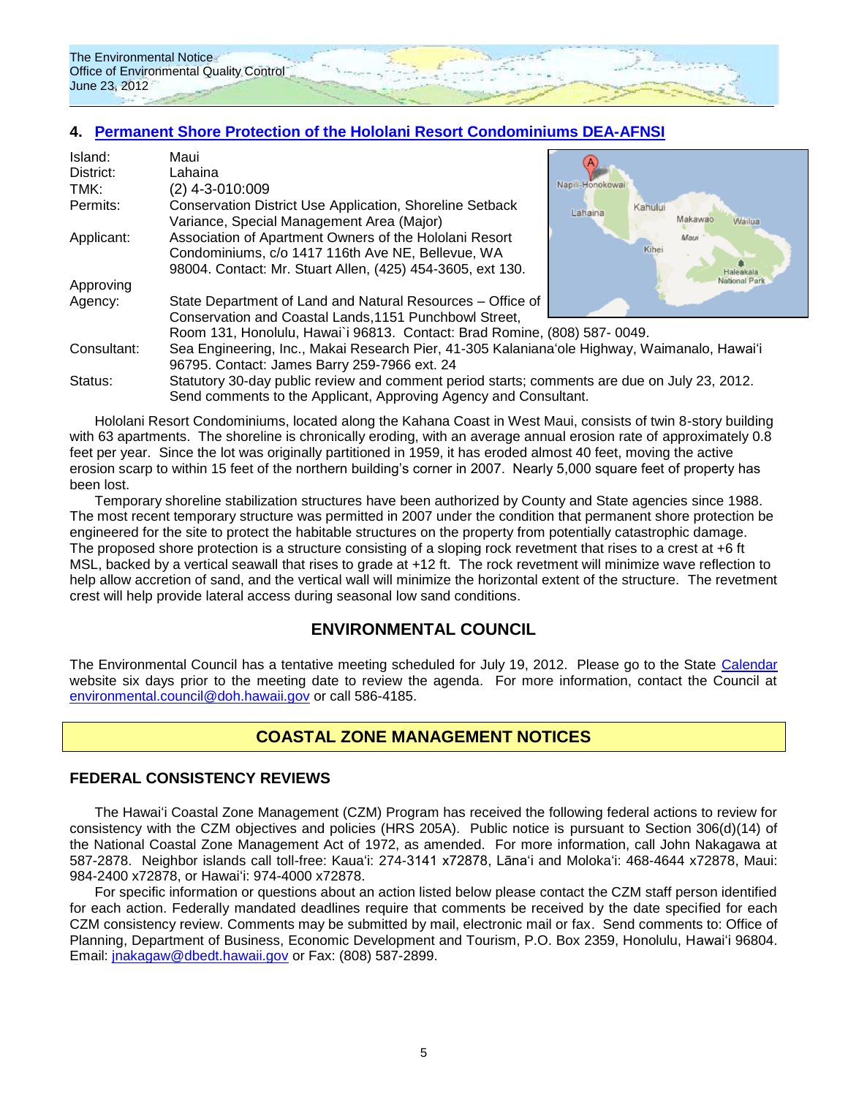### **4. [Permanent Shore Protection of the Hololani](http://oeqc.doh.hawaii.gov/Shared%20Documents/EA_and_EIS_Online_Library/Maui/2010s/2012-06-23%20MA%20DEA%20AFNSI%20DLNR%20Hololani%20Permanent%20Shoreline%20Protection.pdf) Resort Condominiums DEA-AFNSI**

| Island:<br>District: | Maui<br>Lahaina                                                                              |                    |
|----------------------|----------------------------------------------------------------------------------------------|--------------------|
| TMK:                 | $(2)$ 4-3-010:009                                                                            | Napili-Honokowai   |
| Permits:             | <b>Conservation District Use Application, Shoreline Setback</b>                              | Kahului<br>Lahaina |
|                      | Variance, Special Management Area (Major)                                                    | Makawao<br>Wailua  |
| Applicant:           | Association of Apartment Owners of the Hololani Resort                                       | Maui               |
|                      | Condominiums, c/o 1417 116th Ave NE, Bellevue, WA                                            | Kihei              |
|                      | 98004. Contact: Mr. Stuart Allen, (425) 454-3605, ext 130.                                   | Haleakala          |
| Approving            |                                                                                              | National Park      |
| Agency:              | State Department of Land and Natural Resources – Office of                                   |                    |
|                      | Conservation and Coastal Lands, 1151 Punchbowl Street,                                       |                    |
|                      | Room 131, Honolulu, Hawai'i 96813. Contact: Brad Romine, (808) 587-0049.                     |                    |
| Consultant:          | Sea Engineering, Inc., Makai Research Pier, 41-305 Kalaniana'ole Highway, Waimanalo, Hawai'i |                    |
|                      | 96795. Contact: James Barry 259-7966 ext. 24                                                 |                    |
| Status:              | Statutory 30-day public review and comment period starts; comments are due on July 23, 2012. |                    |
|                      | Send comments to the Applicant, Approving Agency and Consultant.                             |                    |

Hololani Resort Condominiums, located along the Kahana Coast in West Maui, consists of twin 8-story building with 63 apartments. The shoreline is chronically eroding, with an average annual erosion rate of approximately 0.8 feet per year. Since the lot was originally partitioned in 1959, it has eroded almost 40 feet, moving the active erosion scarp to within 15 feet of the northern building's corner in 2007. Nearly 5,000 square feet of property has been lost.

Temporary shoreline stabilization structures have been authorized by County and State agencies since 1988. The most recent temporary structure was permitted in 2007 under the condition that permanent shore protection be engineered for the site to protect the habitable structures on the property from potentially catastrophic damage. The proposed shore protection is a structure consisting of a sloping rock revetment that rises to a crest at +6 ft MSL, backed by a vertical seawall that rises to grade at +12 ft. The rock revetment will minimize wave reflection to help allow accretion of sand, and the vertical wall will minimize the horizontal extent of the structure. The revetment crest will help provide lateral access during seasonal low sand conditions.

## **ENVIRONMENTAL COUNCIL**

The Environmental Council has a tentative meeting scheduled for July 19, 2012. Please go to the State [Calendar](http://calendar.ehawaii.gov/calendar/html/event) website six days prior to the meeting date to review the agenda. For more information, contact the Council at [environmental.council@doh.hawaii.gov](mailto:environmental.council@doh.hawaii.gov) or call 586-4185.

## **COASTAL ZONE MANAGEMENT NOTICES**

### **FEDERAL CONSISTENCY REVIEWS**

The Hawai'i Coastal Zone Management (CZM) Program has received the following federal actions to review for consistency with the CZM objectives and policies (HRS 205A). Public notice is pursuant to Section 306(d)(14) of the National Coastal Zone Management Act of 1972, as amended. For more information, call John Nakagawa at 587-2878. Neighbor islands call toll-free: Kaua'i: 274-3141 x72878, Lāna'i and Moloka'i: 468-4644 x72878, Maui: 984-2400 x72878, or Hawai'i: 974-4000 x72878.

For specific information or questions about an action listed below please contact the CZM staff person identified for each action. Federally mandated deadlines require that comments be received by the date specified for each CZM consistency review. Comments may be submitted by mail, electronic mail or fax. Send comments to: Office of Planning, Department of Business, Economic Development and Tourism, P.O. Box 2359, Honolulu, Hawai'i 96804. Email: [jnakagaw@dbedt.hawaii.gov](mailto:jnakagaw@dbedt.hawaii.gov) or Fax: (808) 587-2899.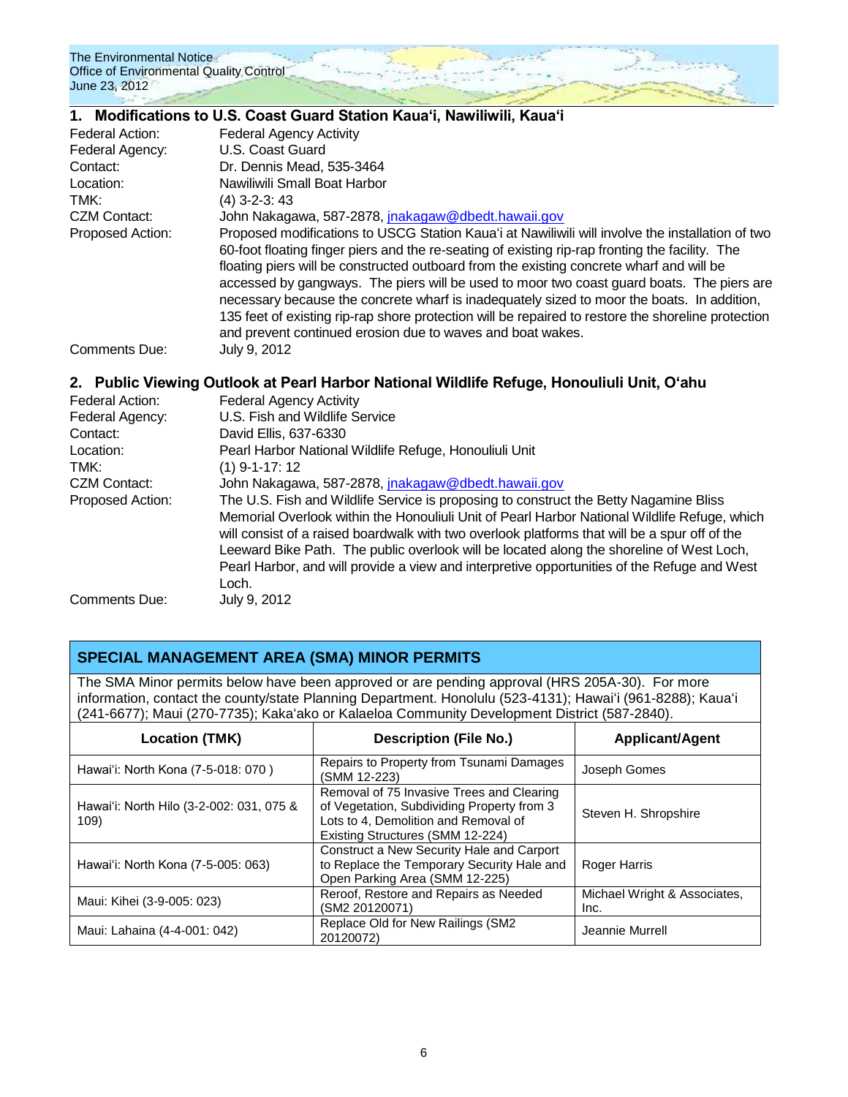|                         | 1. Modifications to U.S. Coast Guard Station Kaua'i, Nawiliwili, Kaua'i                                                                                                                                                                                                                                                                                                                                                                                                                                                                                                                                                                                        |  |  |  |
|-------------------------|----------------------------------------------------------------------------------------------------------------------------------------------------------------------------------------------------------------------------------------------------------------------------------------------------------------------------------------------------------------------------------------------------------------------------------------------------------------------------------------------------------------------------------------------------------------------------------------------------------------------------------------------------------------|--|--|--|
| Federal Action:         | <b>Federal Agency Activity</b>                                                                                                                                                                                                                                                                                                                                                                                                                                                                                                                                                                                                                                 |  |  |  |
| Federal Agency:         | U.S. Coast Guard                                                                                                                                                                                                                                                                                                                                                                                                                                                                                                                                                                                                                                               |  |  |  |
| Contact:                | Dr. Dennis Mead, 535-3464                                                                                                                                                                                                                                                                                                                                                                                                                                                                                                                                                                                                                                      |  |  |  |
| Location:               | Nawiliwili Small Boat Harbor                                                                                                                                                                                                                                                                                                                                                                                                                                                                                                                                                                                                                                   |  |  |  |
| TMK:                    | $(4)$ 3-2-3: 43                                                                                                                                                                                                                                                                                                                                                                                                                                                                                                                                                                                                                                                |  |  |  |
| <b>CZM Contact:</b>     | John Nakagawa, 587-2878, <i>jnakagaw@dbedt.hawaii.gov</i>                                                                                                                                                                                                                                                                                                                                                                                                                                                                                                                                                                                                      |  |  |  |
| <b>Proposed Action:</b> | Proposed modifications to USCG Station Kaua'i at Nawiliwili will involve the installation of two<br>60-foot floating finger piers and the re-seating of existing rip-rap fronting the facility. The<br>floating piers will be constructed outboard from the existing concrete wharf and will be<br>accessed by gangways. The piers will be used to moor two coast guard boats. The piers are<br>necessary because the concrete wharf is inadequately sized to moor the boats. In addition,<br>135 feet of existing rip-rap shore protection will be repaired to restore the shoreline protection<br>and prevent continued erosion due to waves and boat wakes. |  |  |  |
| Comments Due:           | July 9, 2012                                                                                                                                                                                                                                                                                                                                                                                                                                                                                                                                                                                                                                                   |  |  |  |

### **2. Public Viewing Outlook at Pearl Harbor National Wildlife Refuge, Honouliuli Unit, O'ahu**

| <b>Federal Agency Activity</b>                                                                |
|-----------------------------------------------------------------------------------------------|
| U.S. Fish and Wildlife Service                                                                |
| David Ellis, 637-6330                                                                         |
| Pearl Harbor National Wildlife Refuge, Honouliuli Unit                                        |
| $(1)$ 9-1-17: 12                                                                              |
| John Nakagawa, 587-2878, jnakagaw@dbedt.hawaii.gov                                            |
| The U.S. Fish and Wildlife Service is proposing to construct the Betty Nagamine Bliss         |
| Memorial Overlook within the Honouliuli Unit of Pearl Harbor National Wildlife Refuge, which  |
| will consist of a raised boardwalk with two overlook platforms that will be a spur off of the |
| Leeward Bike Path. The public overlook will be located along the shoreline of West Loch,      |
| Pearl Harbor, and will provide a view and interpretive opportunities of the Refuge and West   |
| Loch.                                                                                         |
| July 9, 2012                                                                                  |
|                                                                                               |

### **SPECIAL MANAGEMENT AREA (SMA) MINOR PERMITS**

The SMA Minor permits below have been approved or are pending approval (HRS 205A-30). For more information, contact the county/state Planning Department. Honolulu (523-4131); Hawai'i (961-8288); Kaua'i (241-6677); Maui (270-7735); Kaka'ako or Kalaeloa Community Development District (587-2840).

| <b>Location (TMK)</b>                            | <b>Description (File No.)</b>                                                                                                                                       | <b>Applicant/Agent</b>               |
|--------------------------------------------------|---------------------------------------------------------------------------------------------------------------------------------------------------------------------|--------------------------------------|
| Hawai'i: North Kona (7-5-018: 070)               | Repairs to Property from Tsunami Damages<br>(SMM 12-223)                                                                                                            | Joseph Gomes                         |
| Hawai'i: North Hilo (3-2-002: 031, 075 &<br>109) | Removal of 75 Invasive Trees and Clearing<br>of Vegetation, Subdividing Property from 3<br>Lots to 4, Demolition and Removal of<br>Existing Structures (SMM 12-224) | Steven H. Shropshire                 |
| Hawai'i: North Kona (7-5-005: 063)               | Construct a New Security Hale and Carport<br>to Replace the Temporary Security Hale and<br>Open Parking Area (SMM 12-225)                                           | Roger Harris                         |
| Maui: Kihei (3-9-005: 023)                       | Reroof, Restore and Repairs as Needed<br>(SM2 20120071)                                                                                                             | Michael Wright & Associates,<br>Inc. |
| Maui: Lahaina (4-4-001: 042)                     | Replace Old for New Railings (SM2<br>20120072)                                                                                                                      | Jeannie Murrell                      |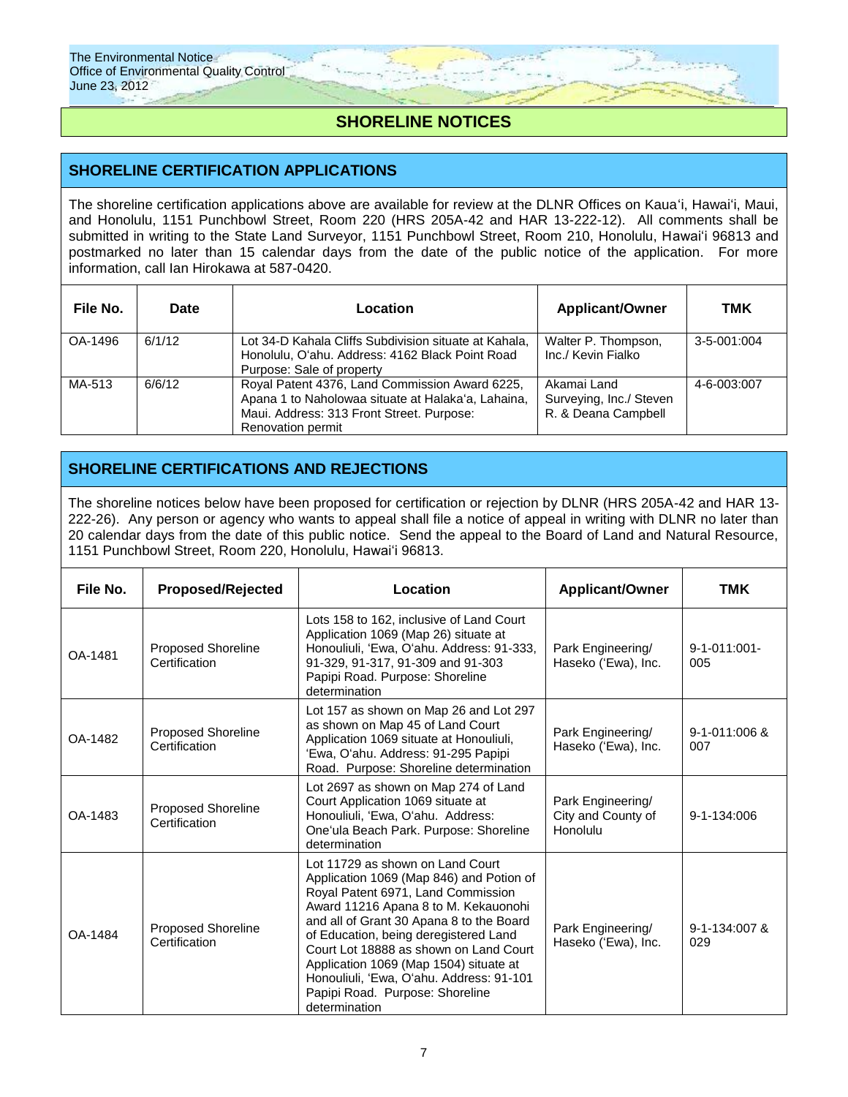## **SHORELINE NOTICES**

### **SHORELINE CERTIFICATION APPLICATIONS**

The shoreline certification applications above are available for review at the DLNR Offices on Kaua'i, Hawai'i, Maui, and Honolulu, 1151 Punchbowl Street, Room 220 (HRS 205A-42 and HAR 13-222-12). All comments shall be submitted in writing to the State Land Surveyor, 1151 Punchbowl Street, Room 210, Honolulu, Hawai'i 96813 and postmarked no later than 15 calendar days from the date of the public notice of the application. For more information, call Ian Hirokawa at 587-0420.

| File No. | Date   | Location                                                                                                                                                               | <b>Applicant/Owner</b>                                        | тмк               |
|----------|--------|------------------------------------------------------------------------------------------------------------------------------------------------------------------------|---------------------------------------------------------------|-------------------|
| OA-1496  | 6/1/12 | Lot 34-D Kahala Cliffs Subdivision situate at Kahala.<br>Honolulu, O'ahu. Address: 4162 Black Point Road<br>Purpose: Sale of property                                  | Walter P. Thompson,<br>Inc./ Kevin Fialko                     | $3 - 5 - 001:004$ |
| MA-513   | 6/6/12 | Royal Patent 4376, Land Commission Award 6225,<br>Apana 1 to Naholowaa situate at Halaka'a, Lahaina,<br>Maui. Address: 313 Front Street. Purpose:<br>Renovation permit | Akamai Land<br>Surveying, Inc./ Steven<br>R. & Deana Campbell | 4-6-003:007       |

## **SHORELINE CERTIFICATIONS AND REJECTIONS**

The shoreline notices below have been proposed for certification or rejection by DLNR (HRS 205A-42 and HAR 13- 222-26). Any person or agency who wants to appeal shall file a notice of appeal in writing with DLNR no later than 20 calendar days from the date of this public notice. Send the appeal to the Board of Land and Natural Resource, 1151 Punchbowl Street, Room 220, Honolulu, Hawai'i 96813.

| File No. | <b>Proposed/Rejected</b>                   | Location                                                                                                                                                                                                                                                                                                                                                                                                                                                                        | <b>Applicant/Owner</b>                              | TMK                        |
|----------|--------------------------------------------|---------------------------------------------------------------------------------------------------------------------------------------------------------------------------------------------------------------------------------------------------------------------------------------------------------------------------------------------------------------------------------------------------------------------------------------------------------------------------------|-----------------------------------------------------|----------------------------|
| OA-1481  | <b>Proposed Shoreline</b><br>Certification | Lots 158 to 162, inclusive of Land Court<br>Application 1069 (Map 26) situate at<br>Honouliuli, 'Ewa, O'ahu. Address: 91-333,<br>Park Engineering/<br>91-329, 91-317, 91-309 and 91-303<br>Haseko ('Ewa), Inc.<br>Papipi Road. Purpose: Shoreline<br>determination                                                                                                                                                                                                              |                                                     | $9 - 1 - 011:001 -$<br>005 |
| OA-1482  | <b>Proposed Shoreline</b><br>Certification | Lot 157 as shown on Map 26 and Lot 297<br>as shown on Map 45 of Land Court<br>Application 1069 situate at Honouliuli,<br>'Ewa, O'ahu. Address: 91-295 Papipi<br>Road. Purpose: Shoreline determination                                                                                                                                                                                                                                                                          | Park Engineering/<br>Haseko ('Ewa), Inc.            | 9-1-011:006 &<br>007       |
| OA-1483  | <b>Proposed Shoreline</b><br>Certification | Lot 2697 as shown on Map 274 of Land<br>Court Application 1069 situate at<br>Honouliuli, 'Ewa, O'ahu. Address:<br>One'ula Beach Park. Purpose: Shoreline<br>determination                                                                                                                                                                                                                                                                                                       | Park Engineering/<br>City and County of<br>Honolulu | 9-1-134:006                |
| OA-1484  | <b>Proposed Shoreline</b><br>Certification | Lot 11729 as shown on Land Court<br>Application 1069 (Map 846) and Potion of<br>Royal Patent 6971, Land Commission<br>Award 11216 Apana 8 to M. Kekauonohi<br>and all of Grant 30 Apana 8 to the Board<br>Park Engineering/<br>of Education, being deregistered Land<br>Haseko ('Ewa), Inc.<br>Court Lot 18888 as shown on Land Court<br>Application 1069 (Map 1504) situate at<br>Honouliuli, 'Ewa, O'ahu. Address: 91-101<br>Papipi Road. Purpose: Shoreline<br>determination |                                                     | 9-1-134:007 &<br>029       |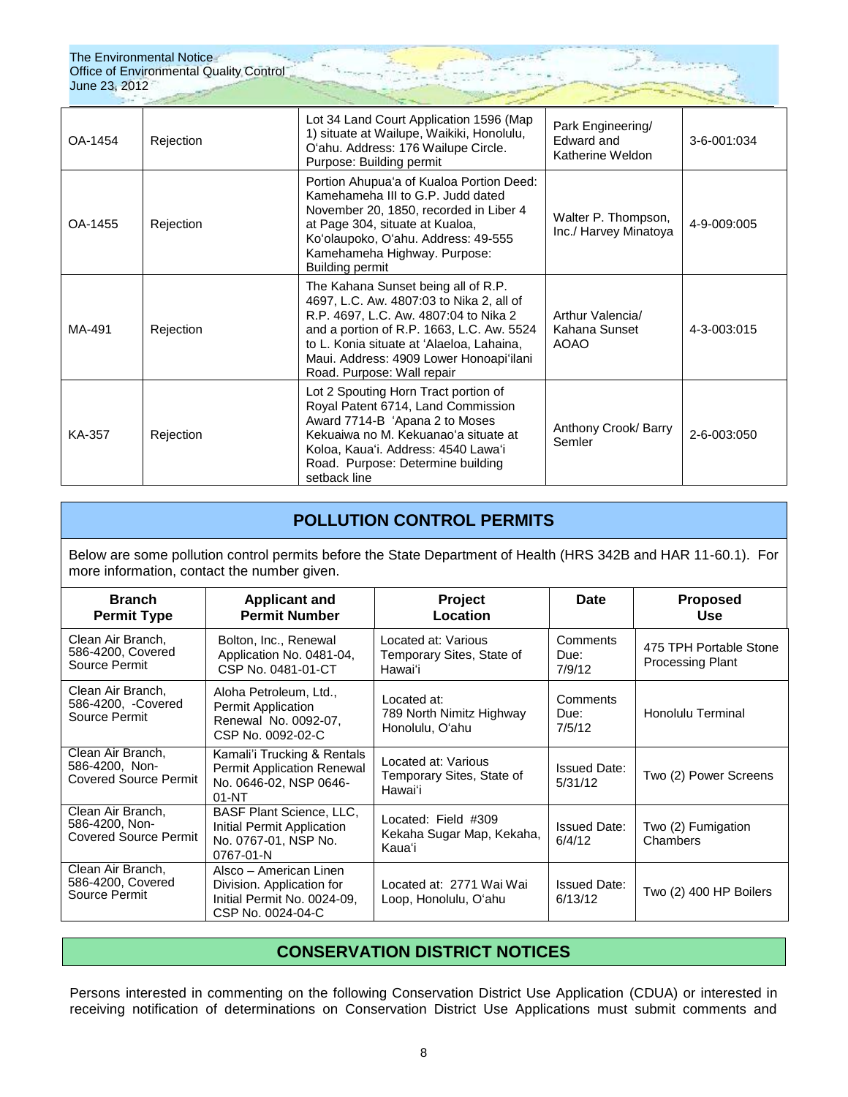| OA-1454 | Rejection | Lot 34 Land Court Application 1596 (Map<br>Park Engineering/<br>1) situate at Wailupe, Waikiki, Honolulu,<br>Edward and<br>O'ahu. Address: 176 Wailupe Circle.<br>Katherine Weldon<br>Purpose: Building permit                                                                              |                                                             | 3-6-001:034 |
|---------|-----------|---------------------------------------------------------------------------------------------------------------------------------------------------------------------------------------------------------------------------------------------------------------------------------------------|-------------------------------------------------------------|-------------|
| OA-1455 | Rejection | Portion Ahupua'a of Kualoa Portion Deed:<br>Kamehameha III to G.P. Judd dated<br>November 20, 1850, recorded in Liber 4<br>at Page 304, situate at Kualoa,<br>Ko'olaupoko, O'ahu. Address: 49-555<br>Kamehameha Highway. Purpose:<br><b>Building permit</b>                                 | Walter P. Thompson,<br>4-9-009:005<br>Inc./ Harvey Minatoya |             |
| MA-491  | Rejection | The Kahana Sunset being all of R.P.<br>4697, L.C. Aw. 4807:03 to Nika 2, all of<br>R.P. 4697, L.C. Aw. 4807:04 to Nika 2<br>and a portion of R.P. 1663, L.C. Aw. 5524<br>to L. Konia situate at 'Alaeloa, Lahaina,<br>Maui. Address: 4909 Lower Honoapi'ilani<br>Road. Purpose: Wall repair | Arthur Valencia/<br>Kahana Sunset<br><b>AOAO</b>            | 4-3-003:015 |
| KA-357  | Rejection | Lot 2 Spouting Horn Tract portion of<br>Royal Patent 6714, Land Commission<br>Award 7714-B 'Apana 2 to Moses<br>Kekuaiwa no M. Kekuanao'a situate at<br>Koloa, Kaua'i. Address: 4540 Lawa'i<br>Road. Purpose: Determine building<br>setback line                                            | Anthony Crook/ Barry<br>Semler                              | 2-6-003:050 |

## **POLLUTION CONTROL PERMITS**

Below are some pollution control permits before the State Department of Health (HRS 342B and HAR 11-60.1). For more information, contact the number given.

| <b>Branch</b><br><b>Permit Type</b>                                 | <b>Applicant and</b><br><b>Permit Number</b>                                                            | <b>Project</b><br>Location                                  | Date                           | <b>Proposed</b><br><b>Use</b>                     |
|---------------------------------------------------------------------|---------------------------------------------------------------------------------------------------------|-------------------------------------------------------------|--------------------------------|---------------------------------------------------|
| Clean Air Branch.<br>586-4200, Covered<br>Source Permit             | Bolton, Inc., Renewal<br>Application No. 0481-04,<br>CSP No. 0481-01-CT                                 | Located at: Various<br>Temporary Sites, State of<br>Hawai'i | Comments<br>Due:<br>7/9/12     | 475 TPH Portable Stone<br><b>Processing Plant</b> |
| Clean Air Branch.<br>586-4200, -Covered<br>Source Permit            | Aloha Petroleum, Ltd.,<br>Permit Application<br>Renewal No. 0092-07,<br>CSP No. 0092-02-C               | Located at:<br>789 North Nimitz Highway<br>Honolulu, O'ahu  | Comments<br>Due:<br>7/5/12     | Honolulu Terminal                                 |
| Clean Air Branch,<br>586-4200, Non-<br><b>Covered Source Permit</b> | Kamali'i Trucking & Rentals<br><b>Permit Application Renewal</b><br>No. 0646-02, NSP 0646-<br>$01-NT$   | Located at: Various<br>Temporary Sites, State of<br>Hawaiʻi | <b>Issued Date:</b><br>5/31/12 | Two (2) Power Screens                             |
| Clean Air Branch.<br>586-4200, Non-<br><b>Covered Source Permit</b> | <b>BASF Plant Science, LLC,</b><br>Initial Permit Application<br>No. 0767-01, NSP No.<br>0767-01-N      | Located: Field #309<br>Kekaha Sugar Map, Kekaha,<br>Kaua'i  | <b>Issued Date:</b><br>6/4/12  | Two (2) Fumigation<br>Chambers                    |
| Clean Air Branch,<br>586-4200, Covered<br>Source Permit             | Alsco - American Linen<br>Division. Application for<br>Initial Permit No. 0024-09.<br>CSP No. 0024-04-C | Located at: 2771 Wai Wai<br>Loop, Honolulu, O'ahu           | <b>Issued Date:</b><br>6/13/12 | Two (2) 400 HP Boilers                            |

## **CONSERVATION DISTRICT NOTICES**

Persons interested in commenting on the following Conservation District Use Application (CDUA) or interested in receiving notification of determinations on Conservation District Use Applications must submit comments and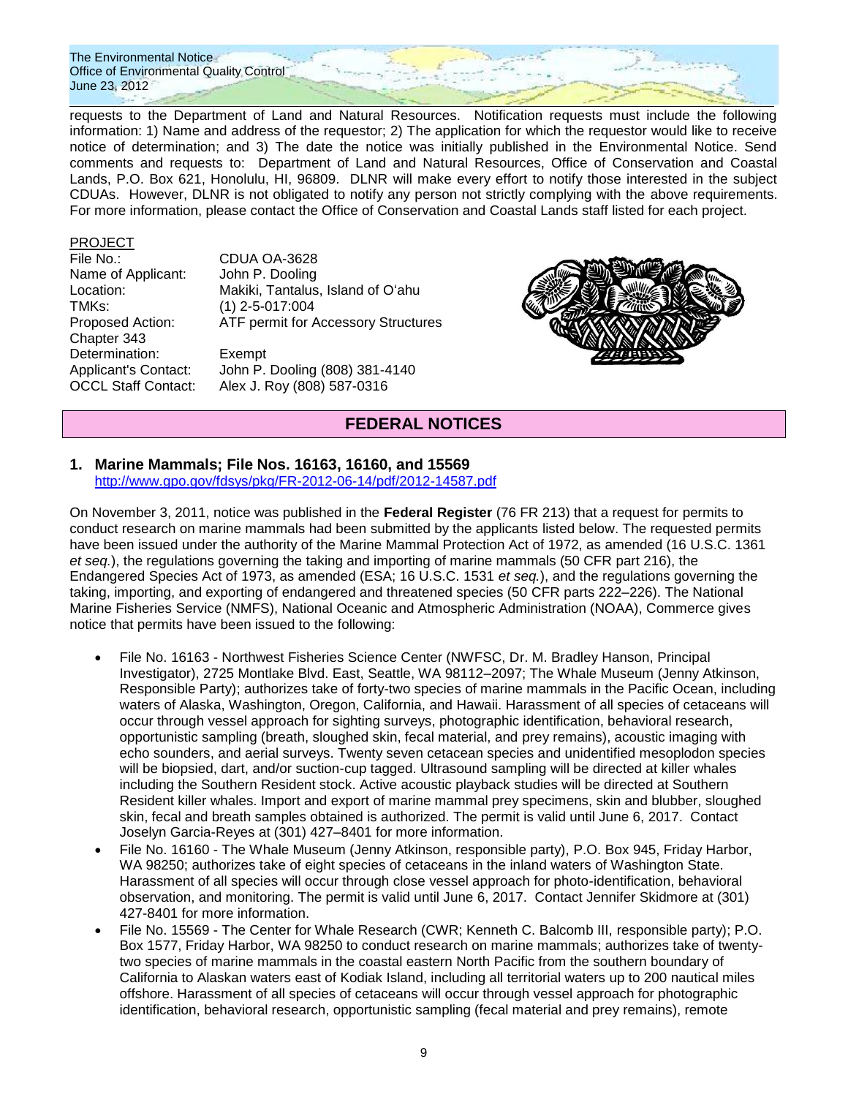requests to the Department of Land and Natural Resources. Notification requests must include the following information: 1) Name and address of the requestor; 2) The application for which the requestor would like to receive notice of determination; and 3) The date the notice was initially published in the Environmental Notice. Send comments and requests to: Department of Land and Natural Resources, Office of Conservation and Coastal Lands, P.O. Box 621, Honolulu, HI, 96809. DLNR will make every effort to notify those interested in the subject CDUAs. However, DLNR is not obligated to notify any person not strictly complying with the above requirements. For more information, please contact the Office of Conservation and Coastal Lands staff listed for each project.

### PROJECT

File No.: CDUA OA-3628 Name of Applicant: John P. Dooling TMKs: (1) 2-5-017:004 Chapter 343 Determination: Exempt

Location: Makiki, Tantalus, Island of O'ahu Proposed Action: ATF permit for Accessory Structures

Applicant's Contact: John P. Dooling (808) 381-4140 OCCL Staff Contact: Alex J. Roy (808) 587-0316



## **FEDERAL NOTICES**

### **1. Marine Mammals; File Nos. 16163, 16160, and 15569**

<http://www.gpo.gov/fdsys/pkg/FR-2012-06-14/pdf/2012-14587.pdf>

On November 3, 2011, notice was published in the **Federal Register** (76 FR 213) that a request for permits to conduct research on marine mammals had been submitted by the applicants listed below. The requested permits have been issued under the authority of the Marine Mammal Protection Act of 1972, as amended (16 U.S.C. 1361 *et seq.*), the regulations governing the taking and importing of marine mammals (50 CFR part 216), the Endangered Species Act of 1973, as amended (ESA; 16 U.S.C. 1531 *et seq.*), and the regulations governing the taking, importing, and exporting of endangered and threatened species (50 CFR parts 222–226). The National Marine Fisheries Service (NMFS), National Oceanic and Atmospheric Administration (NOAA), Commerce gives notice that permits have been issued to the following:

- File No. 16163 Northwest Fisheries Science Center (NWFSC, Dr. M. Bradley Hanson, Principal Investigator), 2725 Montlake Blvd. East, Seattle, WA 98112–2097; The Whale Museum (Jenny Atkinson, Responsible Party); authorizes take of forty-two species of marine mammals in the Pacific Ocean, including waters of Alaska, Washington, Oregon, California, and Hawaii. Harassment of all species of cetaceans will occur through vessel approach for sighting surveys, photographic identification, behavioral research, opportunistic sampling (breath, sloughed skin, fecal material, and prey remains), acoustic imaging with echo sounders, and aerial surveys. Twenty seven cetacean species and unidentified mesoplodon species will be biopsied, dart, and/or suction-cup tagged. Ultrasound sampling will be directed at killer whales including the Southern Resident stock. Active acoustic playback studies will be directed at Southern Resident killer whales. Import and export of marine mammal prey specimens, skin and blubber, sloughed skin, fecal and breath samples obtained is authorized. The permit is valid until June 6, 2017. Contact Joselyn Garcia-Reyes at (301) 427–8401 for more information.
- File No. 16160 The Whale Museum (Jenny Atkinson, responsible party), P.O. Box 945, Friday Harbor, WA 98250; authorizes take of eight species of cetaceans in the inland waters of Washington State. Harassment of all species will occur through close vessel approach for photo-identification, behavioral observation, and monitoring. The permit is valid until June 6, 2017. Contact Jennifer Skidmore at (301) 427-8401 for more information.
- File No. 15569 The Center for Whale Research (CWR; Kenneth C. Balcomb III, responsible party); P.O. Box 1577, Friday Harbor, WA 98250 to conduct research on marine mammals; authorizes take of twentytwo species of marine mammals in the coastal eastern North Pacific from the southern boundary of California to Alaskan waters east of Kodiak Island, including all territorial waters up to 200 nautical miles offshore. Harassment of all species of cetaceans will occur through vessel approach for photographic identification, behavioral research, opportunistic sampling (fecal material and prey remains), remote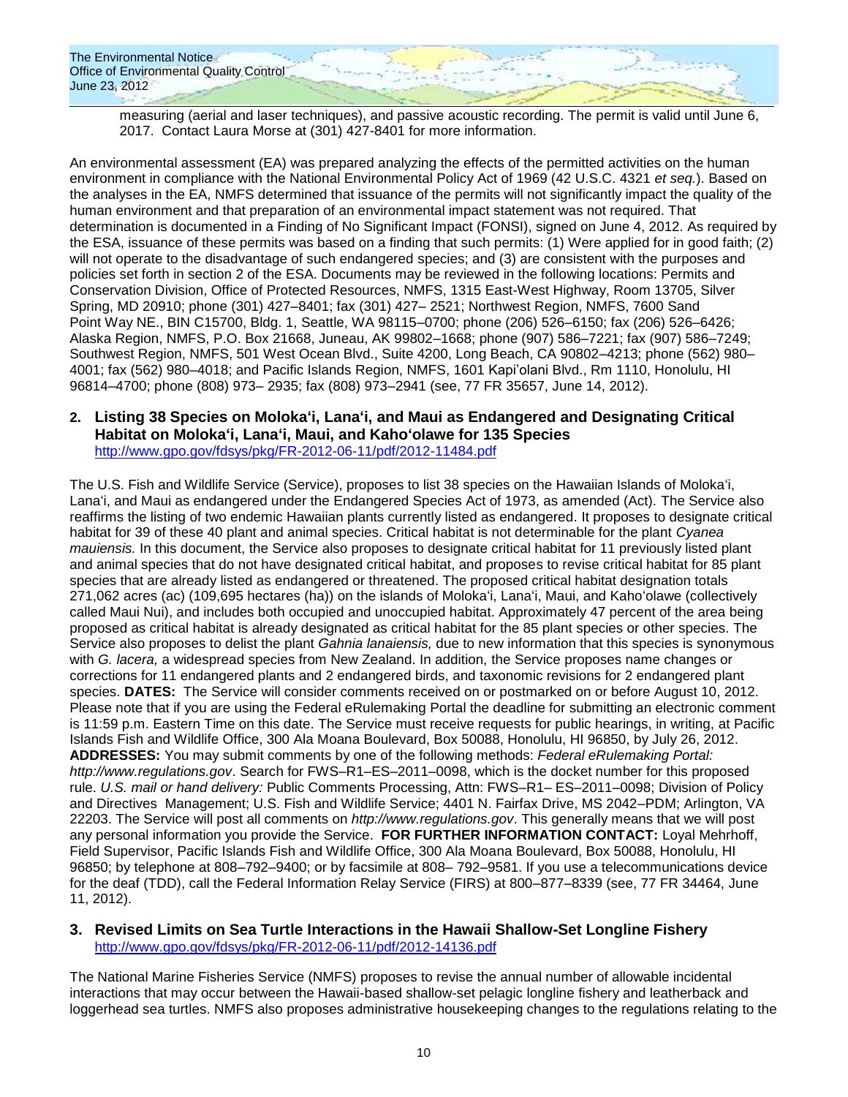measuring (aerial and laser techniques), and passive acoustic recording. The permit is valid until June 6, 2017. Contact Laura Morse at (301) 427-8401 for more information.

An environmental assessment (EA) was prepared analyzing the effects of the permitted activities on the human environment in compliance with the National Environmental Policy Act of 1969 (42 U.S.C. 4321 *et seq.*). Based on the analyses in the EA, NMFS determined that issuance of the permits will not significantly impact the quality of the human environment and that preparation of an environmental impact statement was not required. That determination is documented in a Finding of No Significant Impact (FONSI), signed on June 4, 2012. As required by the ESA, issuance of these permits was based on a finding that such permits: (1) Were applied for in good faith; (2) will not operate to the disadvantage of such endangered species; and (3) are consistent with the purposes and policies set forth in section 2 of the ESA. Documents may be reviewed in the following locations: Permits and Conservation Division, Office of Protected Resources, NMFS, 1315 East-West Highway, Room 13705, Silver Spring, MD 20910; phone (301) 427–8401; fax (301) 427– 2521; Northwest Region, NMFS, 7600 Sand Point Way NE., BIN C15700, Bldg. 1, Seattle, WA 98115–0700; phone (206) 526–6150; fax (206) 526–6426; Alaska Region, NMFS, P.O. Box 21668, Juneau, AK 99802–1668; phone (907) 586–7221; fax (907) 586–7249; Southwest Region, NMFS, 501 West Ocean Blvd., Suite 4200, Long Beach, CA 90802–4213; phone (562) 980– 4001; fax (562) 980–4018; and Pacific Islands Region, NMFS, 1601 Kapi'olani Blvd., Rm 1110, Honolulu, HI 96814–4700; phone (808) 973– 2935; fax (808) 973–2941 (see, 77 FR 35657, June 14, 2012).

### **2. Listing 38 Species on Moloka'i, Lana'i, and Maui as Endangered and Designating Critical Habitat on Moloka'i, Lana'i, Maui, and Kaho'olawe for 135 Species** <http://www.gpo.gov/fdsys/pkg/FR-2012-06-11/pdf/2012-11484.pdf>

The U.S. Fish and Wildlife Service (Service), proposes to list 38 species on the Hawaiian Islands of Moloka'i, Lana'i, and Maui as endangered under the Endangered Species Act of 1973, as amended (Act). The Service also reaffirms the listing of two endemic Hawaiian plants currently listed as endangered. It proposes to designate critical habitat for 39 of these 40 plant and animal species. Critical habitat is not determinable for the plant *Cyanea mauiensis.* In this document, the Service also proposes to designate critical habitat for 11 previously listed plant and animal species that do not have designated critical habitat, and proposes to revise critical habitat for 85 plant species that are already listed as endangered or threatened. The proposed critical habitat designation totals 271,062 acres (ac) (109,695 hectares (ha)) on the islands of Moloka'i, Lana'i, Maui, and Kaho'olawe (collectively called Maui Nui), and includes both occupied and unoccupied habitat. Approximately 47 percent of the area being proposed as critical habitat is already designated as critical habitat for the 85 plant species or other species. The Service also proposes to delist the plant *Gahnia lanaiensis,* due to new information that this species is synonymous with *G. lacera,* a widespread species from New Zealand. In addition, the Service proposes name changes or corrections for 11 endangered plants and 2 endangered birds, and taxonomic revisions for 2 endangered plant species. **DATES:** The Service will consider comments received on or postmarked on or before August 10, 2012. Please note that if you are using the Federal eRulemaking Portal the deadline for submitting an electronic comment is 11:59 p.m. Eastern Time on this date. The Service must receive requests for public hearings, in writing, at Pacific Islands Fish and Wildlife Office, 300 Ala Moana Boulevard, Box 50088, Honolulu, HI 96850, by July 26, 2012. **ADDRESSES:** You may submit comments by one of the following methods: *Federal eRulemaking Portal: http://www.regulations.gov*. Search for FWS–R1–ES–2011–0098, which is the docket number for this proposed rule. *U.S. mail or hand delivery:* Public Comments Processing, Attn: FWS–R1– ES–2011–0098; Division of Policy and Directives Management; U.S. Fish and Wildlife Service; 4401 N. Fairfax Drive, MS 2042–PDM; Arlington, VA 22203. The Service will post all comments on *http://www.regulations.gov*. This generally means that we will post any personal information you provide the Service. **FOR FURTHER INFORMATION CONTACT:** Loyal Mehrhoff, Field Supervisor, Pacific Islands Fish and Wildlife Office, 300 Ala Moana Boulevard, Box 50088, Honolulu, HI 96850; by telephone at 808–792–9400; or by facsimile at 808– 792–9581. If you use a telecommunications device for the deaf (TDD), call the Federal Information Relay Service (FIRS) at 800–877–8339 (see, 77 FR 34464, June 11, 2012).

### **3. Revised Limits on Sea Turtle Interactions in the Hawaii Shallow-Set Longline Fishery** <http://www.gpo.gov/fdsys/pkg/FR-2012-06-11/pdf/2012-14136.pdf>

The National Marine Fisheries Service (NMFS) proposes to revise the annual number of allowable incidental interactions that may occur between the Hawaii-based shallow-set pelagic longline fishery and leatherback and loggerhead sea turtles. NMFS also proposes administrative housekeeping changes to the regulations relating to the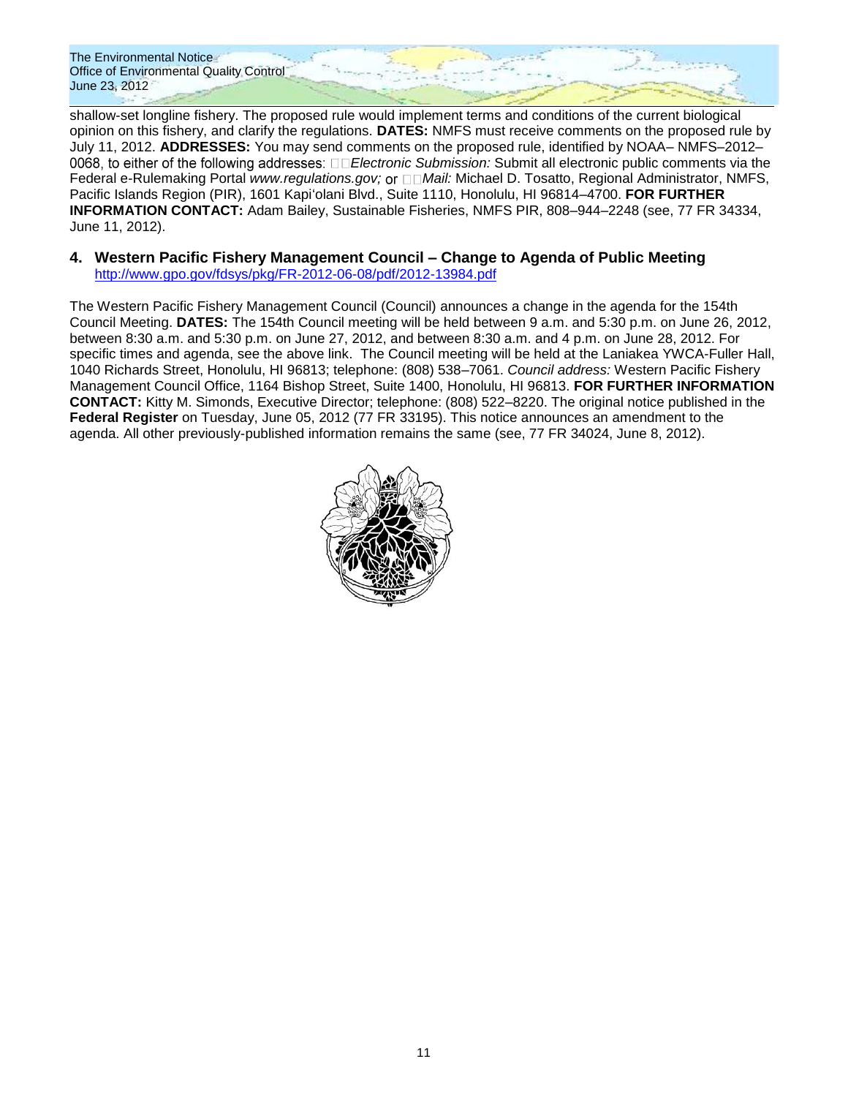shallow-set longline fishery. The proposed rule would implement terms and conditions of the current biological opinion on this fishery, and clarify the regulations. **DATES:** NMFS must receive comments on the proposed rule by July 11, 2012. **ADDRESSES:** You may send comments on the proposed rule, identified by NOAA– NMFS–2012– 0068, to either of the following addresses: □□*Electronic Submission:* Submit all electronic public comments via the Federal e-Rulemaking Portal *www.regulations.gov;* or  $\Box$  *Mail:* Michael D. Tosatto, Regional Administrator, NMFS, Pacific Islands Region (PIR), 1601 Kapi'olani Blvd., Suite 1110, Honolulu, HI 96814–4700. **FOR FURTHER INFORMATION CONTACT:** Adam Bailey, Sustainable Fisheries, NMFS PIR, 808–944–2248 (see, 77 FR 34334, June 11, 2012).

### **4. Western Pacific Fishery Management Council – Change to Agenda of Public Meeting** <http://www.gpo.gov/fdsys/pkg/FR-2012-06-08/pdf/2012-13984.pdf>

The Western Pacific Fishery Management Council (Council) announces a change in the agenda for the 154th Council Meeting. **DATES:** The 154th Council meeting will be held between 9 a.m. and 5:30 p.m. on June 26, 2012, between 8:30 a.m. and 5:30 p.m. on June 27, 2012, and between 8:30 a.m. and 4 p.m. on June 28, 2012. For specific times and agenda, see the above link. The Council meeting will be held at the Laniakea YWCA-Fuller Hall, 1040 Richards Street, Honolulu, HI 96813; telephone: (808) 538–7061. *Council address:* Western Pacific Fishery Management Council Office, 1164 Bishop Street, Suite 1400, Honolulu, HI 96813. **FOR FURTHER INFORMATION CONTACT:** Kitty M. Simonds, Executive Director; telephone: (808) 522–8220. The original notice published in the **Federal Register** on Tuesday, June 05, 2012 (77 FR 33195). This notice announces an amendment to the agenda. All other previously-published information remains the same (see, 77 FR 34024, June 8, 2012).